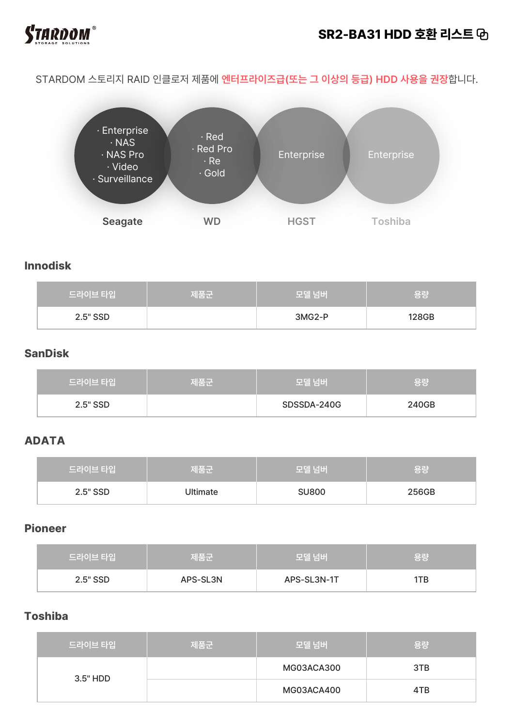

# **SR2-BA31 HDD 호환 리스트**

STARDOM 스토리지 RAID 인클로저 제품에 **엔터프라이즈급(또는 그 이상의 등급) HDD 사용을 권장**합니다.



#### **Innodisk**

| 드라이브 타입  | 제품군 | 모델 넘버  | 용량    |
|----------|-----|--------|-------|
| 2.5" SSD |     | 3MG2-P | 128GB |

#### **SanDisk**

| 드라이브 타입  | 제품군 | 모델 넘버       | \용량   |
|----------|-----|-------------|-------|
| 2.5" SSD |     | SDSSDA-240G | 240GB |

## **ADATA**

| 드라이브 타입    | '제품군     | ↓ 모델 넘버 <sup>\</sup> | ' 용량  |
|------------|----------|----------------------|-------|
| $2.5"$ SSD | Ultimate | <b>SU800</b>         | 256GB |

## **Pioneer**

| 드라이브 타입  | 제품군      | 모델 넘버       | \ 용량 |
|----------|----------|-------------|------|
| 2.5" SSD | APS-SL3N | APS-SL3N-1T | ITB  |

# **Toshiba**

| 드라이브 타입  | 제품군 | 모델 넘버      | 용량  |
|----------|-----|------------|-----|
| 3.5" HDD |     | MG03ACA300 | 3TB |
|          |     | MG03ACA400 | 4TB |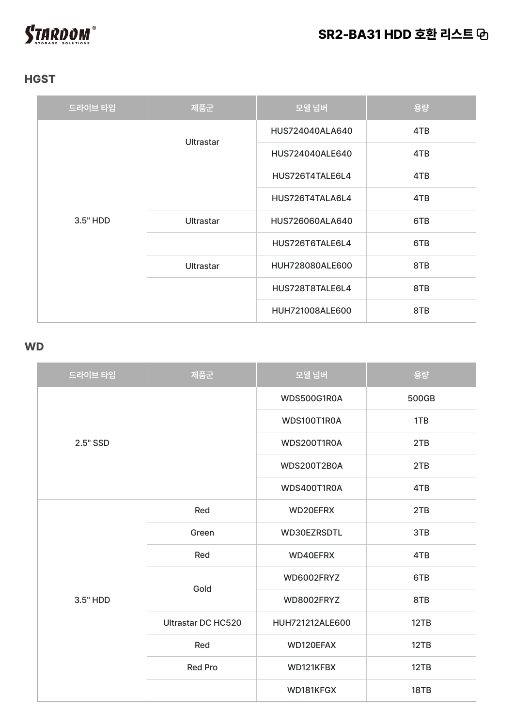

# **HGST**

| 드라이브 타입  | 제품군              | 모델 넘버           | 용량  |
|----------|------------------|-----------------|-----|
|          | <b>Ultrastar</b> | HUS724040ALA640 | 4TB |
|          |                  | HUS724040ALE640 | 4TB |
|          |                  | HUS726T4TALE6L4 | 4TB |
| 3.5" HDD |                  | HUS726T4TALA6L4 | 4TB |
|          | <b>Ultrastar</b> | HUS726060ALA640 | 6TB |
|          |                  | HUS726T6TALE6L4 | 6TB |
|          | <b>Ultrastar</b> | HUH728080ALE600 | 8TB |
|          |                  | HUS728T8TALE6L4 | 8TB |
|          |                  | HUH721008ALE600 | 8TB |

#### **WD**

| 드라이브 타입  | 제품군                       | 모델 넘버              | 용량    |
|----------|---------------------------|--------------------|-------|
|          |                           | WDS500G1R0A        | 500GB |
|          |                           | WDS100T1R0A        | 1TB   |
| 2.5" SSD |                           | WDS200T1R0A        | 2TB   |
|          |                           | <b>WDS200T2B0A</b> | 2TB   |
|          |                           | WDS400T1R0A        | 4TB   |
|          | Red                       | WD20EFRX           | 2TB   |
|          | Green                     | WD30EZRSDTL        | 3TB   |
|          | Red                       | WD40EFRX           | 4TB   |
| 3.5" HDD | Gold                      | WD6002FRYZ         | 6TB   |
|          |                           | WD8002FRYZ         | 8TB   |
|          | <b>Ultrastar DC HC520</b> | HUH721212ALE600    | 12TB  |
|          | Red                       | WD120EFAX          | 12TB  |
|          | <b>Red Pro</b>            | WD121KFBX          | 12TB  |
|          |                           | WD181KFGX          | 18TB  |